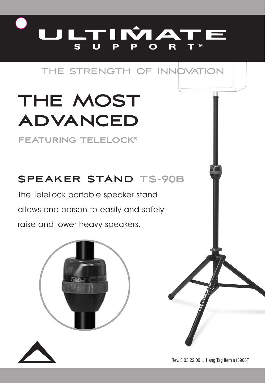

# THE STRENGTH OF INNOVATION

# **THE MOST advanced**

**featuring telelock®**

# **SPEAKER STAND TS-90B**

The TeleLock portable speaker stand allows one person to easily and safely raise and lower heavy speakers.